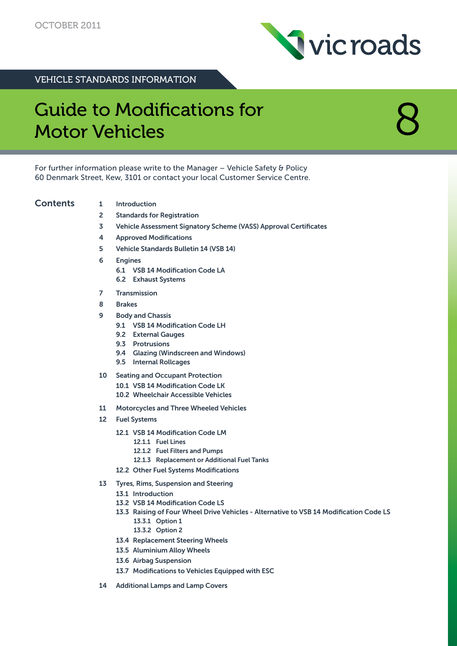

VEHICLE STANDARDS INFORMATION

# **Guide to Modifications for** Motor Vehicles

For further information please write to the Manager – Vehicle Safety & Policy 60 Denmark Street, Kew, 3101 or contact your local Customer Service Centre.

## Contents 1 Introduction

- 
- 2 Standards for Registration
- 3 Vehicle Assessment Signatory Scheme (VASS) Approval Certificates
- 4 Approved Modifications
- 5 Vehicle Standards Bulletin 14 (VSB 14)
- 6 Engines
	- 6.1 VSB 14 Modification Code LA
	- 6.2 Exhaust Systems
- **Transmission**
- 8 Brakes
- 9 Body and Chassis
	- 9.1 VSB 14 Modification Code LH
	- 9.2 External Gauges
	- 9.3 Protrusions
	- 9.4 Glazing (Windscreen and Windows)
	- 9.5 Internal Rollcages
- 10 Seating and Occupant Protection
	- 10.1 VSB 14 Modification Code LK
	- 10.2 Wheelchair Accessible Vehicles
- 11 Motorcycles and Three Wheeled Vehicles
- 12 Fuel Systems
	- 12.1 VSB 14 Modification Code LM
		- 12.1.1 Fuel Lines
		- 12.1.2 Fuel Filters and Pumps
		- 12.1.3 Replacement or Additional Fuel Tanks
	- 12.2 Other Fuel Systems Modifications
- 13 Tyres, Rims, Suspension and Steering
	- 13.1 Introduction
	- 13.2 VSB 14 Modification Code LS
	- 13.3 Raising of Four Wheel Drive Vehicles Alternative to VSB 14 Modification Code LS 13.3.1 Option 1
		- 13.3.2 Option 2
	- 13.4 Replacement Steering Wheels
	- 13.5 Aluminium Alloy Wheels
	- 13.6 Airbag Suspension
	- 13.7 Modifications to Vehicles Equipped with ESC
- 14 Additional Lamps and Lamp Covers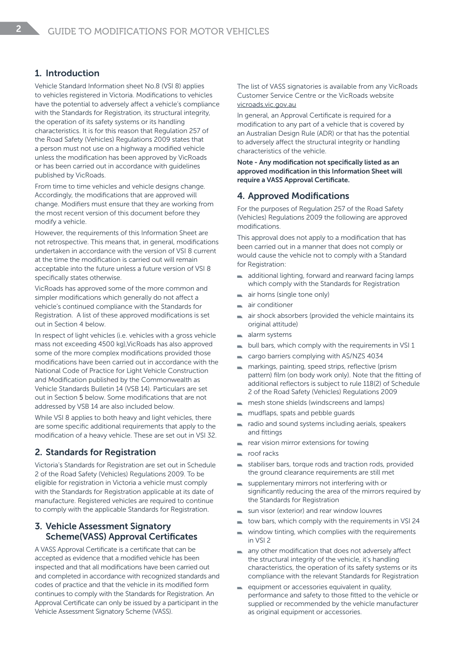## 1. Introduction

Vehicle Standard Information sheet No.8 (VSI 8) applies to vehicles registered in Victoria. Modifications to vehicles have the potential to adversely affect a vehicle's compliance with the Standards for Registration, its structural integrity, the operation of its safety systems or its handling characteristics. It is for this reason that Regulation 257 of the Road Safety (Vehicles) Regulations 2009 states that a person must not use on a highway a modified vehicle unless the modification has been approved by VicRoads or has been carried out in accordance with guidelines published by VicRoads.

From time to time vehicles and vehicle designs change. Accordingly, the modifications that are approved will change. Modifiers must ensure that they are working from the most recent version of this document before they modify a vehicle.

However, the requirements of this Information Sheet are not retrospective. This means that, in general, modifications undertaken in accordance with the version of VSI 8 current at the time the modification is carried out will remain acceptable into the future unless a future version of VSI 8 specifically states otherwise.

VicRoads has approved some of the more common and simpler modifications which generally do not affect a vehicle's continued compliance with the Standards for Registration. A list of these approved modifications is set out in Section 4 below.

In respect of light vehicles (i.e. vehicles with a gross vehicle mass not exceeding 4500 kg),VicRoads has also approved some of the more complex modifications provided those modifications have been carried out in accordance with the National Code of Practice for Light Vehicle Construction and Modification published by the Commonwealth as Vehicle Standards Bulletin 14 (VSB 14). Particulars are set out in Section 5 below. Some modifications that are not addressed by VSB 14 are also included below.

While VSI 8 applies to both heavy and light vehicles, there are some specific additional requirements that apply to the modification of a heavy vehicle. These are set out in VSI 32.

## 2. Standards for Registration

Victoria's Standards for Registration are set out in Schedule 2 of the Road Safety (Vehicles) Regulations 2009. To be eligible for registration in Victoria a vehicle must comply with the Standards for Registration applicable at its date of manufacture. Registered vehicles are required to continue to comply with the applicable Standards for Registration.

## 3. Vehicle Assessment Signatory Scheme(VASS) Approval Certificates

A VASS Approval Certificate is a certificate that can be accepted as evidence that a modified vehicle has been inspected and that all modifications have been carried out and completed in accordance with recognized standards and codes of practice and that the vehicle in its modified form continues to comply with the Standards for Registration. An Approval Certificate can only be issued by a participant in the Vehicle Assessment Signatory Scheme (VASS).

The list of VASS signatories is available from any VicRoads Customer Service Centre or the VicRoads website vicroads.vic.gov.au

In general, an Approval Certificate is required for a modification to any part of a vehicle that is covered by an Australian Design Rule (ADR) or that has the potential to adversely affect the structural integrity or handling characteristics of the vehicle.

Note - Any modification not specifically listed as an approved modification in this Information Sheet will require a VASS Approval Certificate.

## 4. Approved Modifications

For the purposes of Regulation 257 of the Road Safety (Vehicles) Regulations 2009 the following are approved modifications.

This approval does not apply to a modification that has been carried out in a manner that does not comply or would cause the vehicle not to comply with a Standard for Registration:

- additional lighting, forward and rearward facing lamps  $\blacksquare$ which comply with the Standards for Registration
- air horns (single tone only)
- air conditioner
- air shock absorbers (provided the vehicle maintains its original attitude)
- alarm systems a.
- bull bars, which comply with the requirements in VSI 1
- cargo barriers complying with AS/NZS 4034
- markings, painting, speed strips, reflective (prism pattern) film (on body work only). Note that the fitting of additional reflectors is subject to rule 118(2) of Schedule 2 of the Road Safety (Vehicles) Regulations 2009
- mesh stone shields (windscreens and lamps)
- mudflaps, spats and pebble guards
- radio and sound systems including aerials, speakers and fittings
- rear vision mirror extensions for towing
- roof racks
- stabiliser bars, torque rods and traction rods, provided the ground clearance requirements are still met
- supplementary mirrors not interfering with or significantly reducing the area of the mirrors required by the Standards for Registration
- sun visor (exterior) and rear window louvres
- tow bars, which comply with the requirements in VSI 24
- window tinting, which complies with the requirements  $\blacksquare$ in VSI 2
- any other modification that does not adversely affect the structural integrity of the vehicle, it's handling characteristics, the operation of its safety systems or its compliance with the relevant Standards for Registration
- $\blacksquare$  equipment or accessories equivalent in quality, performance and safety to those fitted to the vehicle or supplied or recommended by the vehicle manufacturer as original equipment or accessories.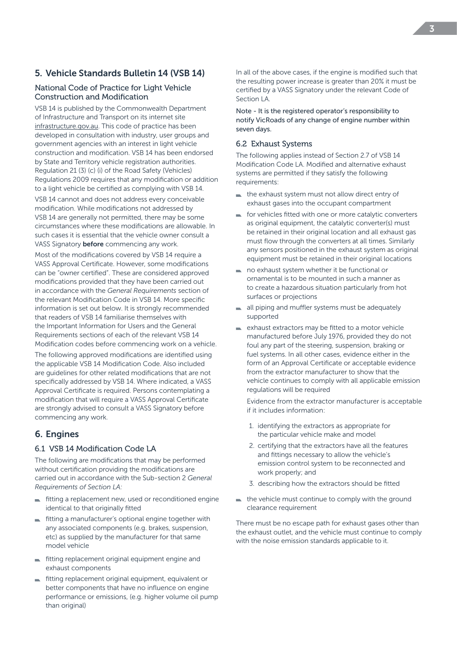## 5. Vehicle Standards Bulletin 14 (VSB 14)

#### National Code of Practice for Light Vehicle Construction and Modification

VSB 14 is published by the Commonwealth Department of Infrastructure and Transport on its internet site infrastructure.gov.au. This code of practice has been developed in consultation with industry, user groups and government agencies with an interest in light vehicle construction and modification. VSB 14 has been endorsed by State and Territory vehicle registration authorities. Regulation 21 (3) (c) (i) of the Road Safety (Vehicles) Regulations 2009 requires that any modification or addition to a light vehicle be certified as complying with VSB 14.

VSB 14 cannot and does not address every conceivable modification. While modifications not addressed by VSB 14 are generally not permitted, there may be some circumstances where these modifications are allowable. In such cases it is essential that the vehicle owner consult a VASS Signatory **before** commencing any work.

Most of the modifications covered by VSB 14 require a VASS Approval Certificate. However, some modifications can be "owner certified". These are considered approved modifications provided that they have been carried out in accordance with the *General Requirements* section of the relevant Modification Code in VSB 14. More specific information is set out below. It is strongly recommended that readers of VSB 14 familiarise themselves with the Important Information for Users and the General Requirements sections of each of the relevant VSB 14 Modification codes before commencing work on a vehicle.

The following approved modifications are identified using the applicable VSB 14 Modification Code. Also included are guidelines for other related modifications that are not specifically addressed by VSB 14. Where indicated, a VASS Approval Certificate is required. Persons contemplating a modification that will require a VASS Approval Certificate are strongly advised to consult a VASS Signatory before commencing any work.

## 6. Engines

## 6.1 VSB 14 Modification Code LA

The following are modifications that may be performed without certification providing the modifications are carried out in accordance with the Sub-section 2 *General Requirements of Section LA:*

- fitting a replacement new, used or reconditioned engine identical to that originally fitted
- $\blacksquare$  fitting a manufacturer's optional engine together with any associated components (e.g. brakes, suspension, etc) as supplied by the manufacturer for that same model vehicle
- fitting replacement original equipment engine and exhaust components
- fitting replacement original equipment, equivalent or better components that have no influence on engine performance or emissions, (e.g. higher volume oil pump than original)

In all of the above cases, if the engine is modified such that the resulting power increase is greater than 20% it must be certified by a VASS Signatory under the relevant Code of Section LA

Note - It is the registered operator's responsibility to notify VicRoads of any change of engine number within seven days.

#### 6.2 Exhaust Systems

The following applies instead of Section 2.7 of VSB 14 Modification Code LA. Modified and alternative exhaust systems are permitted if they satisfy the following requirements:

- $\blacksquare$  the exhaust system must not allow direct entry of exhaust gases into the occupant compartment
- for vehicles fitted with one or more catalytic converters as original equipment, the catalytic converter(s) must be retained in their original location and all exhaust gas must flow through the converters at all times. Similarly any sensors positioned in the exhaust system as original equipment must be retained in their original locations
- no exhaust system whether it be functional or ornamental is to be mounted in such a manner as to create a hazardous situation particularly from hot surfaces or projections
- all piping and muffler systems must be adequately supported
- exhaust extractors may be fitted to a motor vehicle manufactured before July 1976, provided they do not foul any part of the steering, suspension, braking or fuel systems. In all other cases, evidence either in the form of an Approval Certificate or acceptable evidence from the extractor manufacturer to show that the vehicle continues to comply with all applicable emission regulations will be required

Evidence from the extractor manufacturer is acceptable if it includes information:

- 1. identifying the extractors as appropriate for the particular vehicle make and model
- 2. certifying that the extractors have all the features and fittings necessary to allow the vehicle's emission control system to be reconnected and work properly; and
- 3. describing how the extractors should be fitted
- $\blacksquare$  the vehicle must continue to comply with the ground clearance requirement

There must be no escape path for exhaust gases other than the exhaust outlet, and the vehicle must continue to comply with the noise emission standards applicable to it.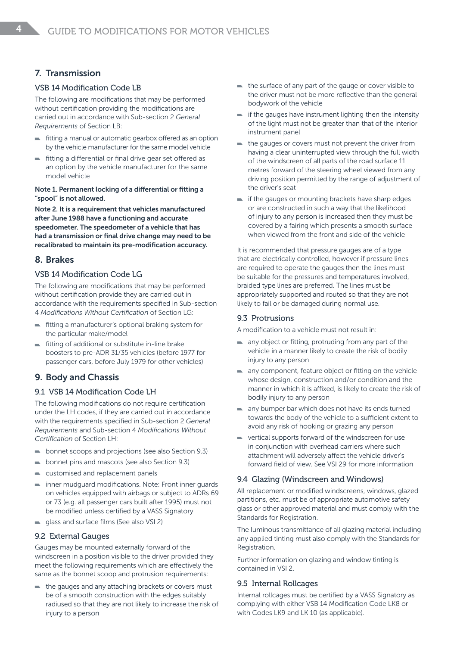## 7. Transmission

#### VSB 14 Modification Code LB

The following are modifications that may be performed without certification providing the modifications are carried out in accordance with Sub-section 2 *General Requirements* of Section LB:

- fitting a manual or automatic gearbox offered as an option  $\blacksquare$ by the vehicle manufacturer for the same model vehicle
- fitting a differential or final drive gear set offered as an option by the vehicle manufacturer for the same model vehicle

#### Note 1. Permanent locking of a differential or fitting a "spool" is not allowed.

Note 2. It is a requirement that vehicles manufactured after June 1988 have a functioning and accurate speedometer. The speedometer of a vehicle that has had a transmission or final drive change may need to be recalibrated to maintain its pre-modification accuracy.

## 8. Brakes

## VSB 14 Modification Code LG

The following are modifications that may be performed without certification provide they are carried out in accordance with the requirements specified in Sub-section 4 *Modifications Without Certification* of Section LG:

- fitting a manufacturer's optional braking system for the particular make/model
- fitting of additional or substitute in-line brake boosters to pre-ADR 31/35 vehicles (before 1977 for passenger cars, before July 1979 for other vehicles)

## 9. Body and Chassis

#### 9.1 VSB 14 Modification Code LH

The following modifications do not require certification under the LH codes, if they are carried out in accordance with the requirements specified in Sub-section 2 *General Requirements* and Sub-section 4 *Modifications Without Certification* of Section LH:

- bonnet scoops and projections (see also Section 9.3)
- **bonnet pins and mascots (see also Section 9.3)**
- customised and replacement panels
- inner mudguard modifications. Note: Front inner guards on vehicles equipped with airbags or subject to ADRs 69 or 73 (e.g. all passenger cars built after 1995) must not be modified unless certified by a VASS Signatory
- e glass and surface films (See also VSI 2)

#### 9.2 External Gauges

Gauges may be mounted externally forward of the windscreen in a position visible to the driver provided they meet the following requirements which are effectively the same as the bonnet scoop and protrusion requirements:

the gauges and any attaching brackets or covers must be of a smooth construction with the edges suitably radiused so that they are not likely to increase the risk of injury to a person

- the surface of any part of the gauge or cover visible to the driver must not be more reflective than the general bodywork of the vehicle
- $\blacksquare$  if the gauges have instrument lighting then the intensity of the light must not be greater than that of the interior instrument panel
- $\blacksquare$  the gauges or covers must not prevent the driver from having a clear uninterrupted view through the full width of the windscreen of all parts of the road surface 11 metres forward of the steering wheel viewed from any driving position permitted by the range of adjustment of the driver's seat
- $\blacksquare$  if the gauges or mounting brackets have sharp edges or are constructed in such a way that the likelihood of injury to any person is increased then they must be covered by a fairing which presents a smooth surface when viewed from the front and side of the vehicle

It is recommended that pressure gauges are of a type that are electrically controlled, however if pressure lines are required to operate the gauges then the lines must be suitable for the pressures and temperatures involved, braided type lines are preferred. The lines must be appropriately supported and routed so that they are not likely to fail or be damaged during normal use.

#### 9.3 Protrusions

A modification to a vehicle must not result in:

- $\blacksquare$  any object or fitting, protruding from any part of the vehicle in a manner likely to create the risk of bodily injury to any person
- any component, feature object or fitting on the vehicle whose design, construction and/or condition and the manner in which it is affixed, is likely to create the risk of bodily injury to any person
- any bumper bar which does not have its ends turned towards the body of the vehicle to a sufficient extent to avoid any risk of hooking or grazing any person
- vertical supports forward of the windscreen for use in conjunction with overhead carriers where such attachment will adversely affect the vehicle driver's forward field of view. See VSI 29 for more information

## 9.4 Glazing (Windscreen and Windows)

All replacement or modified windscreens, windows, glazed partitions, etc. must be of appropriate automotive safety glass or other approved material and must comply with the Standards for Registration.

The luminous transmittance of all glazing material including any applied tinting must also comply with the Standards for Registration.

Further information on glazing and window tinting is contained in VSI 2.

#### 9.5 Internal Rollcages

Internal rollcages must be certified by a VASS Signatory as complying with either VSB 14 Modification Code LK8 or with Codes LK9 and LK 10 (as applicable).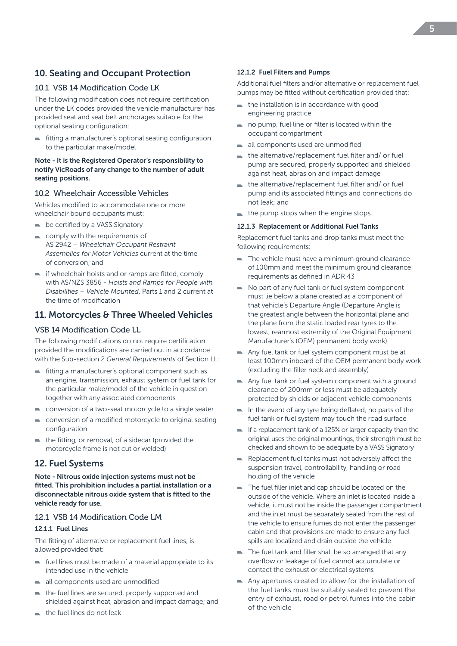# 10. Seating and Occupant Protection

#### 10.1 VSB 14 Modification Code LK

The following modification does not require certification under the LK codes provided the vehicle manufacturer has provided seat and seat belt anchorages suitable for the optional seating configuration:

fitting a manufacturer's optional seating configuration to the particular make/model

#### Note - It is the Registered Operator's responsibility to notify VicRoads of any change to the number of adult seating positions.

#### 10.2 Wheelchair Accessible Vehicles

Vehicles modified to accommodate one or more wheelchair bound occupants must:

- $\blacksquare$  be certified by a VASS Signatory
- comply with the requirements of AS 2942 – *Wheelchair Occupant Restraint Assemblies for Motor Vehicles* current at the time of conversion; and
- if wheelchair hoists and or ramps are fitted, comply with AS/NZS 3856 - *Hoists and Ramps for People with Disabilities* – *Vehicle Mounted*, Parts 1 and 2 current at the time of modification

## 11. Motorcycles & Three Wheeled Vehicles

#### VSB 14 Modification Code LL

The following modifications do not require certification provided the modifications are carried out in accordance with the Sub-section 2 *General Requirements* of Section LL:

- fitting a manufacturer's optional component such as an engine, transmission, exhaust system or fuel tank for the particular make/model of the vehicle in question together with any associated components
- conversion of a two-seat motorcycle to a single seater
- conversion of a modified motorcycle to original seating configuration
- the fitting, or removal, of a sidecar (provided the  $\mathcal{L}_{\mathcal{A}}$ motorcycle frame is not cut or welded)

## 12. Fuel Systems

Note - Nitrous oxide injection systems must not be fitted. This prohibition includes a partial installation or a disconnectable nitrous oxide system that is fitted to the vehicle ready for use.

## 12.1 VSB 14 Modification Code LM

#### 12.1.1 Fuel Lines

The fitting of alternative or replacement fuel lines, is allowed provided that:

- $\blacksquare$  fuel lines must be made of a material appropriate to its intended use in the vehicle
- all components used are unmodified
- the fuel lines are secured, properly supported and shielded against heat, abrasion and impact damage; and
- the fuel lines do not leak

#### 12.1.2 Fuel Filters and Pumps

Additional fuel filters and/or alternative or replacement fuel pumps may be fitted without certification provided that:

- the installation is in accordance with good engineering practice
- no pump, fuel line or filter is located within the  $\mathbf{r}$ occupant compartment
- all components used are unmodified
- $\blacksquare$  the alternative/replacement fuel filter and/ or fuel pump are secured, properly supported and shielded against heat, abrasion and impact damage
- the alternative/replacement fuel filter and/ or fuel pump and its associated fittings and connections do not leak; and
- $\blacksquare$  the pump stops when the engine stops.

#### 12.1.3 Replacement or Additional Fuel Tanks

Replacement fuel tanks and drop tanks must meet the following requirements:

- The vehicle must have a minimum ground clearance of 100mm and meet the minimum ground clearance requirements as defined in ADR 43
- No part of any fuel tank or fuel system component must lie below a plane created as a component of that vehicle's Departure Angle (Departure Angle is the greatest angle between the horizontal plane and the plane from the static loaded rear tyres to the lowest, rearmost extremity of the Original Equipment Manufacturer's (OEM) permanent body work)
- Any fuel tank or fuel system component must be at least 100mm inboard of the OEM permanent body work (excluding the filler neck and assembly)
- Any fuel tank or fuel system component with a ground clearance of 200mm or less must be adequately protected by shields or adjacent vehicle components
- $\blacksquare$  In the event of any tyre being deflated, no parts of the fuel tank or fuel system may touch the road surface
- $\blacksquare$  If a replacement tank of a 125% or larger capacity than the original uses the original mountings, their strength must be checked and shown to be adequate by a VASS Signatory
- Replacement fuel tanks must not adversely affect the suspension travel, controllability, handling or road holding of the vehicle
- The fuel filler inlet and cap should be located on the outside of the vehicle. Where an inlet is located inside a vehicle, it must not be inside the passenger compartment and the inlet must be separately sealed from the rest of the vehicle to ensure fumes do not enter the passenger cabin and that provisions are made to ensure any fuel spills are localized and drain outside the vehicle
- $\blacksquare$  The fuel tank and filler shall be so arranged that any overflow or leakage of fuel cannot accumulate or contact the exhaust or electrical systems
- Any apertures created to allow for the installation of the fuel tanks must be suitably sealed to prevent the entry of exhaust, road or petrol fumes into the cabin of the vehicle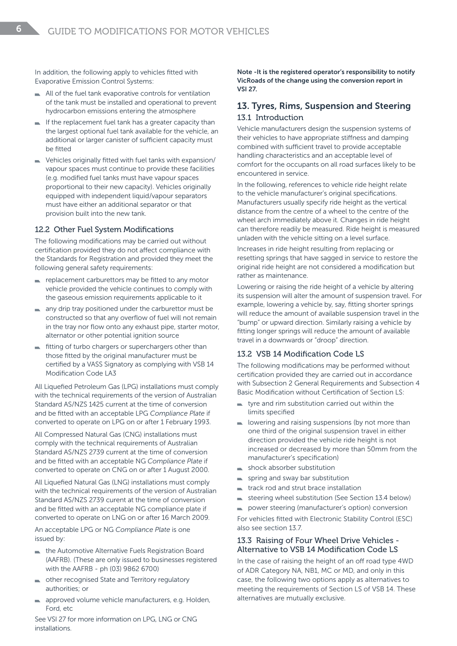In addition, the following apply to vehicles fitted with Evaporative Emission Control Systems:

- All of the fuel tank evaporative controls for ventilation of the tank must be installed and operational to prevent hydrocarbon emissions entering the atmosphere
- If the replacement fuel tank has a greater capacity than the largest optional fuel tank available for the vehicle, an additional or larger canister of sufficient capacity must be fitted
- Vehicles originally fitted with fuel tanks with expansion/ vapour spaces must continue to provide these facilities (e.g. modified fuel tanks must have vapour spaces proportional to their new capacity). Vehicles originally equipped with independent liquid/vapour separators must have either an additional separator or that provision built into the new tank.

#### 12.2 Other Fuel System Modifications

The following modifications may be carried out without certification provided they do not affect compliance with the Standards for Registration and provided they meet the following general safety requirements:

- replacement carburettors may be fitted to any motor vehicle provided the vehicle continues to comply with the gaseous emission requirements applicable to it
- any drip tray positioned under the carburettor must be constructed so that any overflow of fuel will not remain in the tray nor flow onto any exhaust pipe, starter motor, alternator or other potential ignition source
- fitting of turbo chargers or superchargers other than  $\sim$ those fitted by the original manufacturer must be certified by a VASS Signatory as complying with VSB 14 Modification Code LA3

All Liquefied Petroleum Gas (LPG) installations must comply with the technical requirements of the version of Australian Standard AS/NZS 1425 current at the time of conversion and be fitted with an acceptable LPG *Compliance Plate* if converted to operate on LPG on or after 1 February 1993.

All Compressed Natural Gas (CNG) installations must comply with the technical requirements of Australian Standard AS/NZS 2739 current at the time of conversion and be fitted with an acceptable NG *Compliance Plate* if converted to operate on CNG on or after 1 August 2000.

All Liquefied Natural Gas (LNG) installations must comply with the technical requirements of the version of Australian Standard AS/NZS 2739 curent at the time of conversion and be fitted with an acceptable NG compliance plate if converted to operate on LNG on or after 16 March 2009.

An acceptable LPG or NG *Compliance Plate* is one issued by:

- the Automotive Alternative Fuels Registration Board (AAFRB). (These are only issued to businesses registered with the AAFRB - ph (03) 9862 6700)
- other recognised State and Territory regulatory authorities; or
- approved volume vehicle manufacturers, e.g. Holden, Ford, etc

See VSI 27 for more information on LPG, LNG or CNG installations.

Note -It is the registered operator's responsibility to notify VicRoads of the change using the conversion report in VSI 27.

## 13. Tyres, Rims, Suspension and Steering 13.1 Introduction

Vehicle manufacturers design the suspension systems of their vehicles to have appropriate stiffness and damping combined with sufficient travel to provide acceptable handling characteristics and an acceptable level of comfort for the occupants on all road surfaces likely to be encountered in service.

In the following, references to vehicle ride height relate to the vehicle manufacturer's original specifications. Manufacturers usually specify ride height as the vertical distance from the centre of a wheel to the centre of the wheel arch immediately above it. Changes in ride height can therefore readily be measured. Ride height is measured unladen with the vehicle sitting on a level surface.

Increases in ride height resulting from replacing or resetting springs that have sagged in service to restore the original ride height are not considered a modification but rather as maintenance.

Lowering or raising the ride height of a vehicle by altering its suspension will alter the amount of suspension travel. For example, lowering a vehicle by, say, fitting shorter springs will reduce the amount of available suspension travel in the "bump" or upward direction. Similarly raising a vehicle by fitting longer springs will reduce the amount of available travel in a downwards or "droop" direction.

#### 13.2 VSB 14 Modification Code LS

The following modifications may be performed without certification provided they are carried out in accordance with Subsection 2 General Requirements and Subsection 4 Basic Modification without Certification of Section LS:

- tyre and rim substitution carried out within the limits specified
- $\blacksquare$  lowering and raising suspensions (by not more than one third of the original suspension travel in either direction provided the vehicle ride height is not increased or decreased by more than 50mm from the manufacturer's specification)
- shock absorber substitution
- spring and sway bar substitution
- track rod and strut brace installation
- $\blacksquare$  steering wheel substitution (See Section 13.4 below)
- power steering (manufacturer's option) conversion  $\mathcal{L}_{\mathcal{A}}$

For vehicles fitted with Electronic Stability Control (ESC) also see section 13.7.

#### 13.3 Raising of Four Wheel Drive Vehicles - Alternative to VSB 14 Modification Code LS

In the case of raising the height of an off road type 4WD of ADR Category NA, NB1, MC or MD, and only in this case, the following two options apply as alternatives to meeting the requirements of Section LS of VSB 14. These alternatives are mutually exclusive.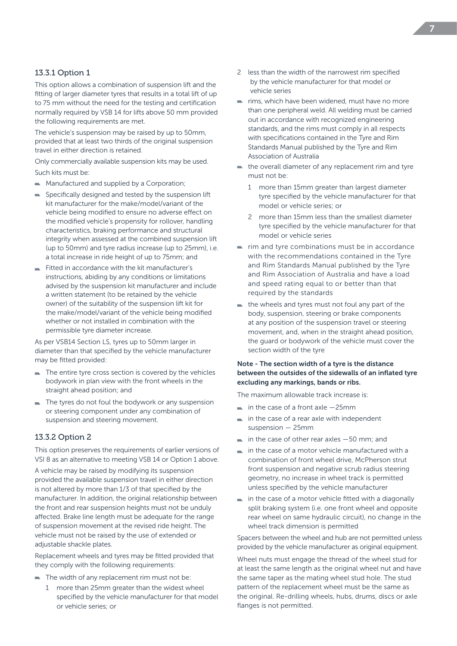#### 13.3.1 Option 1

This option allows a combination of suspension lift and the fitting of larger diameter tyres that results in a total lift of up to 75 mm without the need for the testing and certification normally required by VSB 14 for lifts above 50 mm provided the following requirements are met.

The vehicle's suspension may be raised by up to 50mm, provided that at least two thirds of the original suspension travel in either direction is retained.

Only commercially available suspension kits may be used. Such kits must be:

- $\blacksquare$  Manufactured and supplied by a Corporation:
- Specifically designed and tested by the suspension lift **TAX** kit manufacturer for the make/model/variant of the vehicle being modified to ensure no adverse effect on the modified vehicle's propensity for rollover, handling characteristics, braking performance and structural integrity when assessed at the combined suspension lift (up to 50mm) and tyre radius increase (up to 25mm), i.e. a total increase in ride height of up to 75mm; and
- Fitted in accordance with the kit manufacturer's instructions, abiding by any conditions or limitations advised by the suspension kit manufacturer and include a written statement (to be retained by the vehicle owner) of the suitability of the suspension lift kit for the make/model/variant of the vehicle being modified whether or not installed in combination with the permissible tyre diameter increase.

As per VSB14 Section LS, tyres up to 50mm larger in diameter than that specified by the vehicle manufacturer may be fitted provided:

- $\blacksquare$  The entire tyre cross section is covered by the vehicles bodywork in plan view with the front wheels in the straight ahead position; and
- The tyres do not foul the bodywork or any suspension or steering component under any combination of suspension and steering movement.

#### 13.3.2 Option 2

This option preserves the requirements of earlier versions of VSI 8 as an alternative to meeting VSB 14 or Option 1 above.

A vehicle may be raised by modifying its suspension provided the available suspension travel in either direction is not altered by more than 1/3 of that specified by the manufacturer. In addition, the original relationship between the front and rear suspension heights must not be unduly affected. Brake line length must be adequate for the range of suspension movement at the revised ride height. The vehicle must not be raised by the use of extended or adjustable shackle plates.

Replacement wheels and tyres may be fitted provided that they comply with the following requirements:

- $\blacksquare$  The width of any replacement rim must not be:
	- 1 more than 25mm greater than the widest wheel specified by the vehicle manufacturer for that model or vehicle series; or
- 2 less than the width of the narrowest rim specified by the vehicle manufacturer for that model or vehicle series
- $\blacksquare$  rims, which have been widened, must have no more than one peripheral weld. All welding must be carried out in accordance with recognized engineering standards, and the rims must comply in all respects with specifications contained in the Tyre and Rim Standards Manual published by the Tyre and Rim Association of Australia
- $\blacksquare$  the overall diameter of any replacement rim and tyre must not be:
	- 1 more than 15mm greater than largest diameter tyre specified by the vehicle manufacturer for that model or vehicle series; or
	- 2 more than 15mm less than the smallest diameter tyre specified by the vehicle manufacturer for that model or vehicle series
- $\blacksquare$  rim and tyre combinations must be in accordance with the recommendations contained in the Tyre and Rim Standards Manual published by the Tyre and Rim Association of Australia and have a load and speed rating equal to or better than that required by the standards
- $\blacksquare$  the wheels and tyres must not foul any part of the body, suspension, steering or brake components at any position of the suspension travel or steering movement, and, when in the straight ahead position, the guard or bodywork of the vehicle must cover the section width of the tyre

#### Note - The section width of a tyre is the distance between the outsides of the sidewalls of an inflated tyre excluding any markings, bands or ribs.

The maximum allowable track increase is:

- $\blacksquare$  in the case of a front axle  $-25$ mm
- $\blacksquare$  in the case of a rear axle with independent suspension — 25mm
- $\blacksquare$  in the case of other rear axles  $-50$  mm; and
- in the case of a motor vehicle manufactured with a combination of front wheel drive, McPherson strut front suspension and negative scrub radius steering geometry, no increase in wheel track is permitted unless specified by the vehicle manufacturer
- $\blacksquare$  in the case of a motor vehicle fitted with a diagonally split braking system (i.e. one front wheel and opposite rear wheel on same hydraulic circuit), no change in the wheel track dimension is permitted

Spacers between the wheel and hub are not permitted unless provided by the vehicle manufacturer as original equipment.

Wheel nuts must engage the thread of the wheel stud for at least the same length as the original wheel nut and have the same taper as the mating wheel stud hole. The stud pattern of the replacement wheel must be the same as the original. Re-drilling wheels, hubs, drums, discs or axle flanges is not permitted.